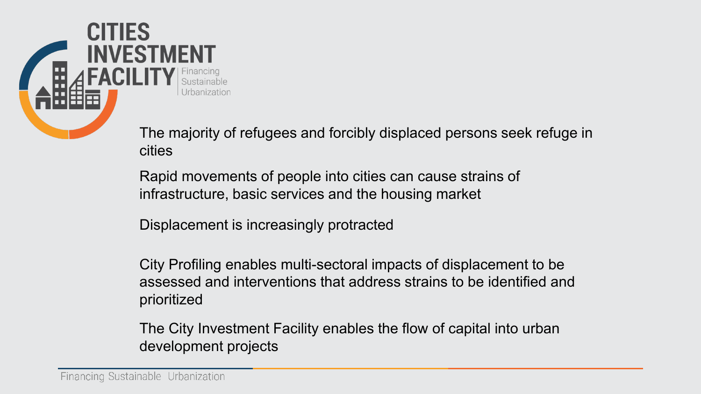

The majority of refugees and forcibly displaced persons seek refuge in cities

Rapid movements of people into cities can cause strains of infrastructure, basic services and the housing market

Displacement is increasingly protracted

City Profiling enables multi-sectoral impacts of displacement to be assessed and interventions that address strains to be identified and prioritized

The City Investment Facility enables the flow of capital into urban development projects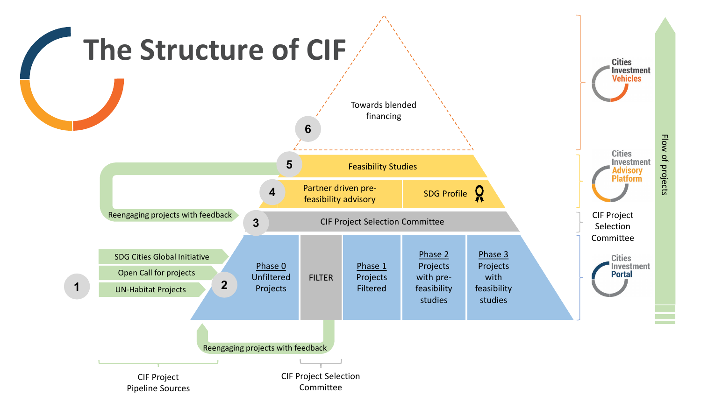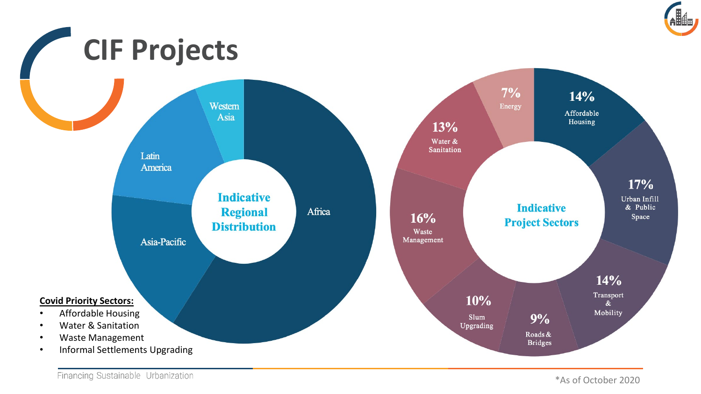



\*As of October 2020